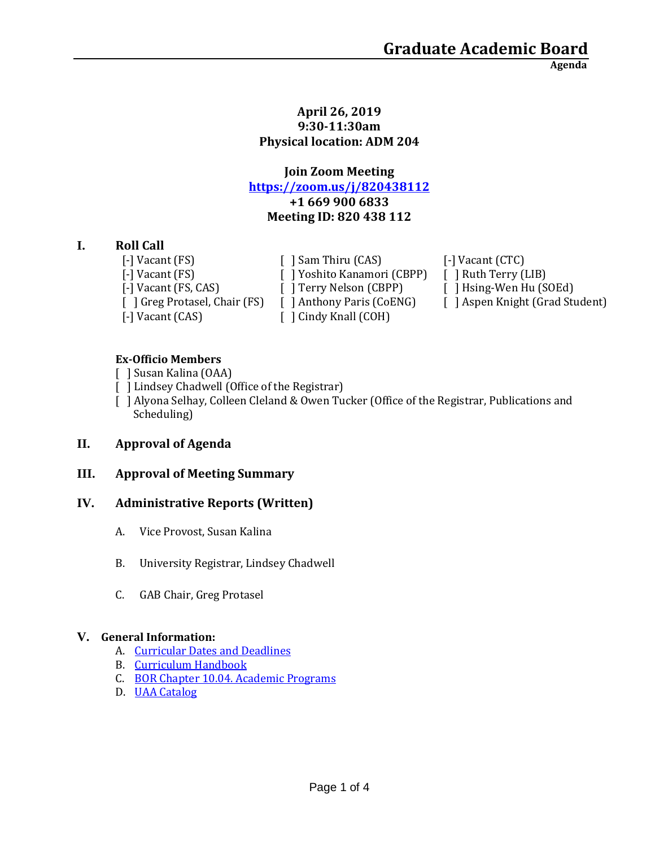**Agenda**

#### **April 26, 2019 9:30-11:30am Physical location: ADM 204**

# **Join Zoom Meeting <https://zoom.us/j/820438112> +1 669 900 6833 Meeting ID: 820 438 112**

# **I. Roll Call**

[-] Vacant (CAS) [ ] Cindy Knall (COH)

[-] Vacant (FS)  $\left[ \begin{array}{ccc} \end{array} \right]$  Sam Thiru (CAS)  $\left[ \begin{array}{ccc} - \end{array} \right]$  Vacant (CTC) [-] Vacant (FS) [ ] Yoshito Kanamori (CBPP) [ ] Ruth Terry (LIB) [-] Vacant (FS, CAS) [ ] Terry Nelson (CBPP) [ ] Hsing-Wen Hu (SOEd)

[ ] Greg Protasel, Chair (FS) [ ] Anthony Paris (CoENG) [ ] Aspen Knight (Grad Student)

## **Ex-Officio Members**

- [ ] Susan Kalina (OAA)
- [ ] Lindsey Chadwell (Office of the Registrar)
- [ ] Alyona Selhay, Colleen Cleland & Owen Tucker (Office of the Registrar, Publications and Scheduling)

# **II. Approval of Agenda**

# **III. Approval of Meeting Summary**

#### **IV. Administrative Reports (Written)**

- A. Vice Provost, Susan Kalina
- B. University Registrar, Lindsey Chadwell
- C. GAB Chair, Greg Protasel

#### **V. General Information:**

- A. [Curricular Dates and Deadlines](https://www.uaa.alaska.edu/academics/office-of-academic-affairs/dates-and-deadlines.cshtml)
- B. [Curriculum Handbook](https://www.uaa.alaska.edu/academics/office-of-academic-affairs/curriculum/_documents/Curriculum%20Handbook%202-9-18.pdf)
- C. [BOR Chapter 10.04. Academic Programs](https://www.alaska.edu/bor/policy/10-04.pdf)
- D. [UAA Catalog](https://www.uaa.alaska.edu/students/registrar/catalogs/index.cshtml)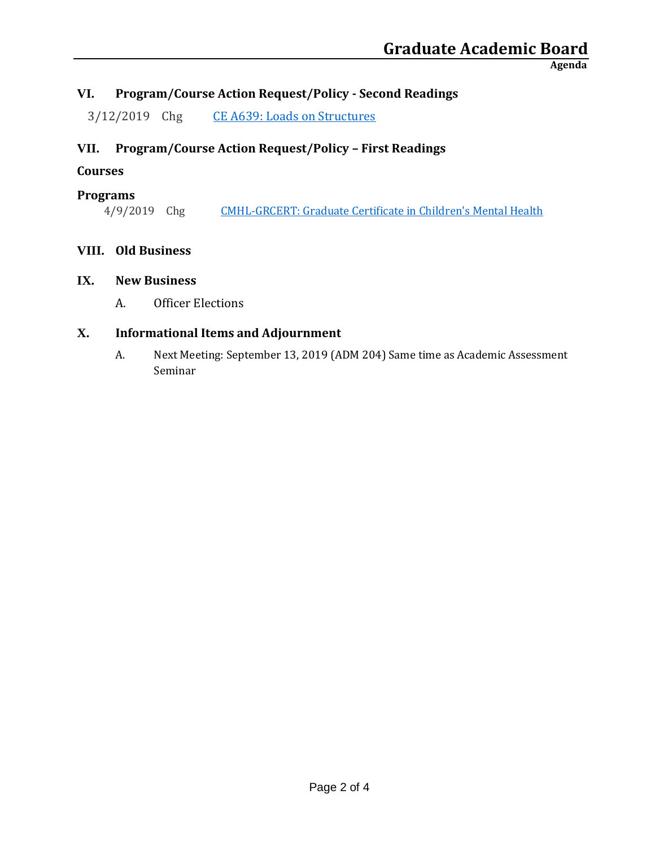**Agenda**

# **VI. Program/Course Action Request/Policy - Second Readings**

3/12/2019 Chg [CE A639: Loads on Structures](https://nextcatalog.uaa.alaska.edu/courseleaf/courseleaf.cgi?page=/courseadmin/1302/index.html&step=tcadiff)

# **VII. Program/Course Action Request/Policy – First Readings**

# **Courses**

#### **Programs**

4/9/2019 Chg [CMHL-GRCERT: Graduate Certificate in Children's Mental Health](https://nextcatalog.uaa.alaska.edu/courseleaf/courseleaf.cgi?page=/programadmin/5/index.html&step=tcadiff)

## **VIII. Old Business**

#### **IX. New Business**

A. Officer Elections

## **X. Informational Items and Adjournment**

A. Next Meeting: September 13, 2019 (ADM 204) Same time as Academic Assessment Seminar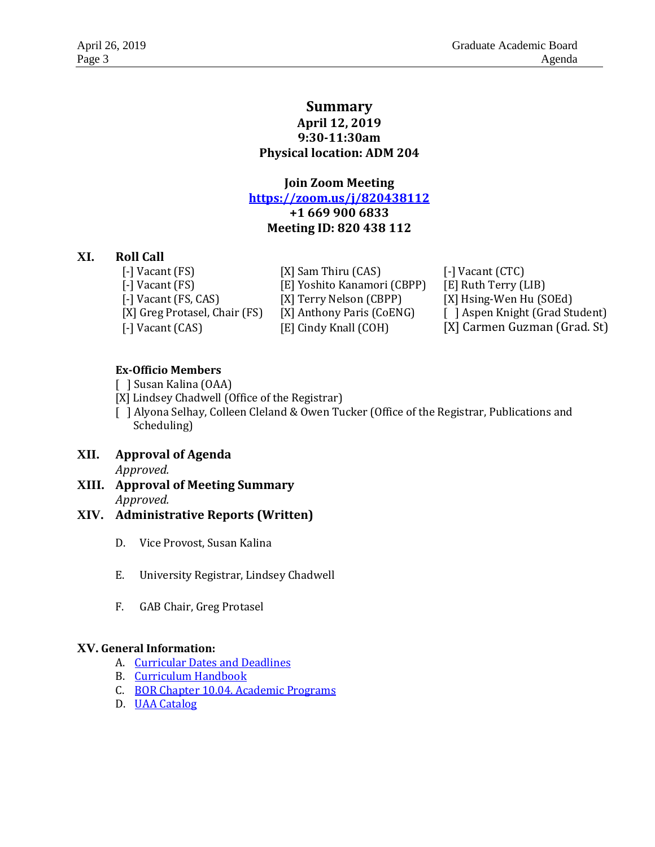#### **Summary April 12, 2019 9:30-11:30am Physical location: ADM 204**

**Join Zoom Meeting <https://zoom.us/j/820438112> +1 669 900 6833 Meeting ID: 820 438 112**

#### **XI. Roll Call**

[-] Vacant (FS) [X] Sam Thiru (CAS) [-] Vacant (CTC) [-] Vacant (CAS) [E] Cindy Knall (COH) [X] Carmen Guzman (Grad. St)

[-] Vacant (FS) [E] Yoshito Kanamori (CBPP) [E] Ruth Terry (LIB) [-] Vacant (FS, CAS) [X] Terry Nelson (CBPP) [X] Hsing-Wen Hu (SOEd)

[X] Greg Protasel, Chair (FS) [X] Anthony Paris (CoENG) [] Aspen Knight (Grad Student)

#### **Ex-Officio Members**

- [ ] Susan Kalina (OAA)
- [X] Lindsey Chadwell (Office of the Registrar)

[ ] Alyona Selhay, Colleen Cleland & Owen Tucker (Office of the Registrar, Publications and Scheduling)

- **XII. Approval of Agenda** *Approved.*
- **XIII. Approval of Meeting Summary** *Approved.*

#### **XIV. Administrative Reports (Written)**

- D. Vice Provost, Susan Kalina
- E. University Registrar, Lindsey Chadwell
- F. GAB Chair, Greg Protasel

#### **XV. General Information:**

- A. [Curricular Dates and Deadlines](https://www.uaa.alaska.edu/academics/office-of-academic-affairs/dates-and-deadlines.cshtml)
- B. [Curriculum Handbook](https://www.uaa.alaska.edu/academics/office-of-academic-affairs/curriculum/_documents/Curriculum%20Handbook%202-9-18.pdf)
- C. [BOR Chapter 10.04. Academic Programs](https://www.alaska.edu/bor/policy/10-04.pdf)
- D. [UAA Catalog](https://www.uaa.alaska.edu/students/registrar/catalogs/index.cshtml)